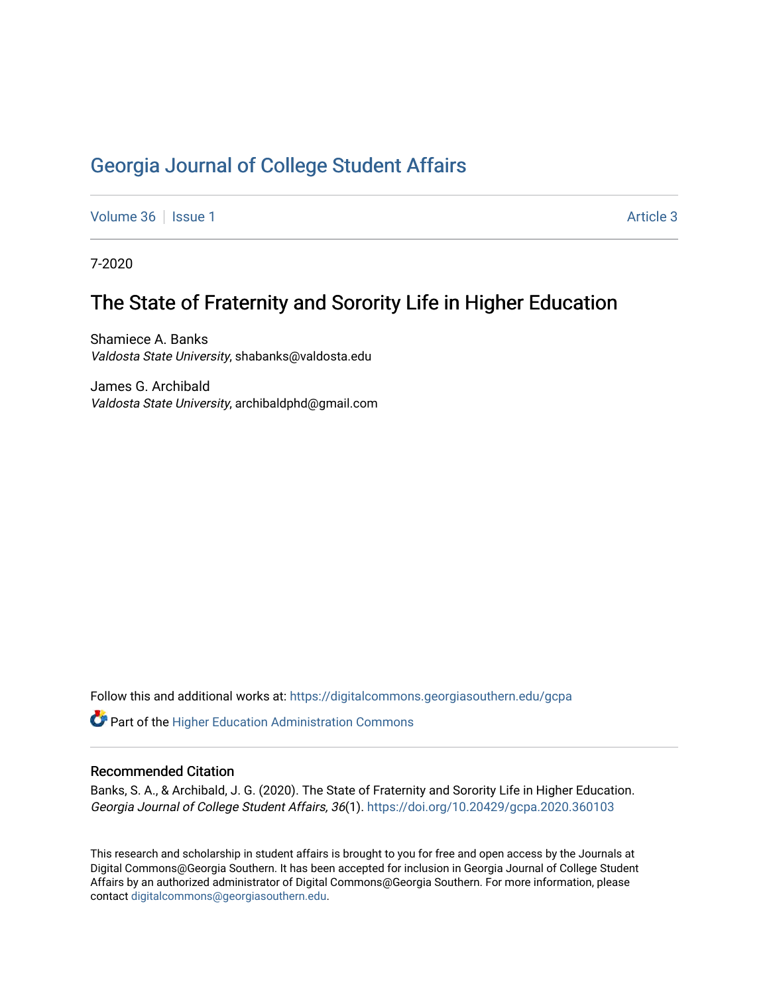## [Georgia Journal of College Student Affairs](https://digitalcommons.georgiasouthern.edu/gcpa)

[Volume 36](https://digitalcommons.georgiasouthern.edu/gcpa/vol36) | [Issue 1](https://digitalcommons.georgiasouthern.edu/gcpa/vol36/iss1) Article 3

7-2020

## The State of Fraternity and Sorority Life in Higher Education

Shamiece A. Banks Valdosta State University, shabanks@valdosta.edu

James G. Archibald Valdosta State University, archibaldphd@gmail.com

Follow this and additional works at: [https://digitalcommons.georgiasouthern.edu/gcpa](https://digitalcommons.georgiasouthern.edu/gcpa?utm_source=digitalcommons.georgiasouthern.edu%2Fgcpa%2Fvol36%2Fiss1%2F3&utm_medium=PDF&utm_campaign=PDFCoverPages) 

**C** Part of the Higher Education Administration Commons

#### Recommended Citation

Banks, S. A., & Archibald, J. G. (2020). The State of Fraternity and Sorority Life in Higher Education. Georgia Journal of College Student Affairs, 36(1).<https://doi.org/10.20429/gcpa.2020.360103>

This research and scholarship in student affairs is brought to you for free and open access by the Journals at Digital Commons@Georgia Southern. It has been accepted for inclusion in Georgia Journal of College Student Affairs by an authorized administrator of Digital Commons@Georgia Southern. For more information, please contact [digitalcommons@georgiasouthern.edu](mailto:digitalcommons@georgiasouthern.edu).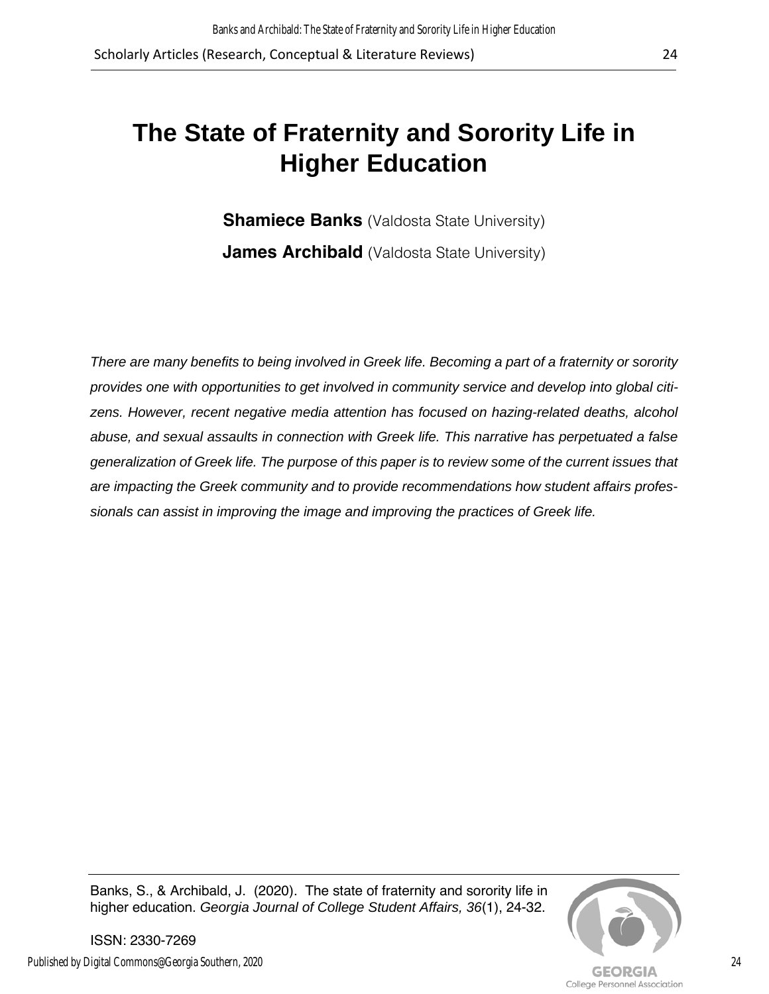# **The State of Fraternity and Sorority Life in Higher Education**

**Shamiece Banks** (Valdosta State University) **James Archibald** (Valdosta State University)

*There are many benefits to being involved in Greek life. Becoming a part of a fraternity or sorority provides one with opportunities to get involved in community service and develop into global citi*zens. However, recent negative media attention has focused on hazing-related deaths, alcohol *abuse, and sexual assaults in connection with Greek life. This narrative has perpetuated a false generalization of Greek life. The purpose of this paper is to review some of the current issues that are impacting the Greek community and to provide recommendations how student affairs professionals can assist in improving the image and improving the practices of Greek life.*

Banks, S., & Archibald, J. (2020). The state of fraternity and sorority life in higher education. *Georgia Journal of College Student Affairs, 36*(1), 24-32.



ISSN: 2330-7269 Published by Digital Commons@Georgia Southern, 2020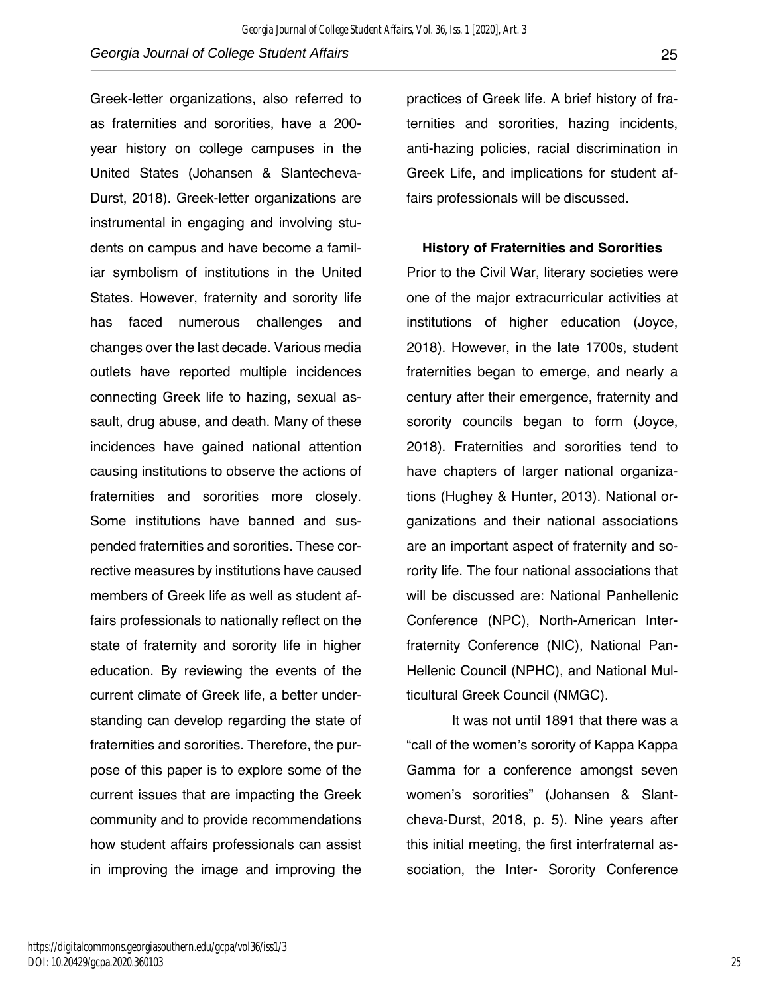Greek-letter organizations, also referred to as fraternities and sororities, have a 200 year history on college campuses in the United States (Johansen & Slantecheva-Durst, 2018). Greek-letter organizations are instrumental in engaging and involving students on campus and have become a familiar symbolism of institutions in the United States. However, fraternity and sorority life has faced numerous challenges and changes over the last decade. Various media outlets have reported multiple incidences connecting Greek life to hazing, sexual assault, drug abuse, and death. Many of these incidences have gained national attention causing institutions to observe the actions of fraternities and sororities more closely. Some institutions have banned and suspended fraternities and sororities. These corrective measures by institutions have caused members of Greek life as well as student affairs professionals to nationally reflect on the state of fraternity and sorority life in higher education. By reviewing the events of the current climate of Greek life, a better understanding can develop regarding the state of fraternities and sororities. Therefore, the purpose of this paper is to explore some of the current issues that are impacting the Greek community and to provide recommendations how student affairs professionals can assist in improving the image and improving the

practices of Greek life. A brief history of fraternities and sororities, hazing incidents, anti-hazing policies, racial discrimination in Greek Life, and implications for student affairs professionals will be discussed.

#### **History of Fraternities and Sororities**

Prior to the Civil War, literary societies were one of the major extracurricular activities at institutions of higher education (Joyce, 2018). However, in the late 1700s, student fraternities began to emerge, and nearly a century after their emergence, fraternity and sorority councils began to form (Joyce, 2018). Fraternities and sororities tend to have chapters of larger national organizations (Hughey & Hunter, 2013). National organizations and their national associations are an important aspect of fraternity and sorority life. The four national associations that will be discussed are: National Panhellenic Conference (NPC), North-American Interfraternity Conference (NIC), National Pan-Hellenic Council (NPHC), and National Multicultural Greek Council (NMGC).

It was not until 1891 that there was a "call of the women's sorority of Kappa Kappa Gamma for a conference amongst seven women's sororities" (Johansen & Slantcheva-Durst, 2018, p. 5). Nine years after this initial meeting, the first interfraternal association, the Inter- Sorority Conference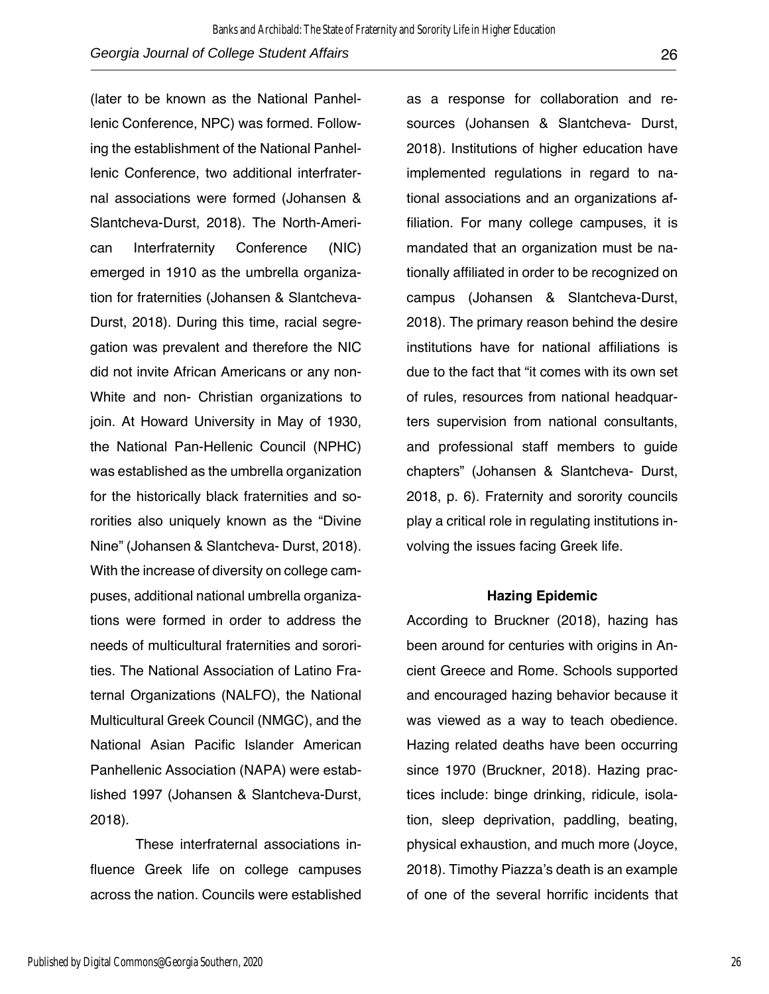(later to be known as the National Panhellenic Conference, NPC) was formed. Following the establishment of the National Panhellenic Conference, two additional interfraternal associations were formed (Johansen & Slantcheva-Durst, 2018). The North-American Interfraternity Conference (NIC) emerged in 1910 as the umbrella organization for fraternities (Johansen & Slantcheva-Durst, 2018). During this time, racial segregation was prevalent and therefore the NIC did not invite African Americans or any non-White and non- Christian organizations to join. At Howard University in May of 1930, the National Pan-Hellenic Council (NPHC) was established as the umbrella organization for the historically black fraternities and sororities also uniquely known as the "Divine Nine" (Johansen & Slantcheva- Durst, 2018). With the increase of diversity on college campuses, additional national umbrella organizations were formed in order to address the needs of multicultural fraternities and sororities. The National Association of Latino Fraternal Organizations (NALFO), the National Multicultural Greek Council (NMGC), and the National Asian Pacific Islander American Panhellenic Association (NAPA) were established 1997 (Johansen & Slantcheva-Durst, 2018).

These interfraternal associations influence Greek life on college campuses across the nation. Councils were established

as a response for collaboration and resources (Johansen & Slantcheva- Durst, 2018). Institutions of higher education have implemented regulations in regard to national associations and an organizations affiliation. For many college campuses, it is mandated that an organization must be nationally affiliated in order to be recognized on campus (Johansen & Slantcheva-Durst, 2018). The primary reason behind the desire institutions have for national affiliations is due to the fact that "it comes with its own set of rules, resources from national headquarters supervision from national consultants, and professional staff members to guide chapters" (Johansen & Slantcheva- Durst, 2018, p. 6). Fraternity and sorority councils play a critical role in regulating institutions involving the issues facing Greek life.

#### **Hazing Epidemic**

According to Bruckner (2018), hazing has been around for centuries with origins in Ancient Greece and Rome. Schools supported and encouraged hazing behavior because it was viewed as a way to teach obedience. Hazing related deaths have been occurring since 1970 (Bruckner, 2018). Hazing practices include: binge drinking, ridicule, isolation, sleep deprivation, paddling, beating, physical exhaustion, and much more (Joyce, 2018). Timothy Piazza's death is an example of one of the several horrific incidents that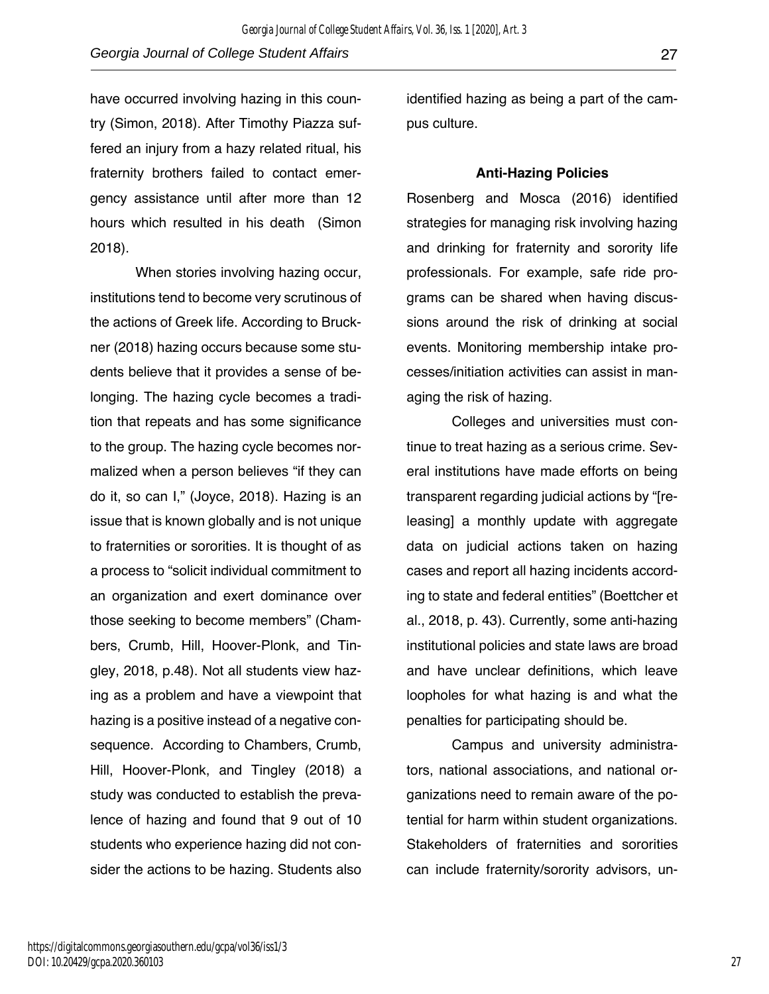have occurred involving hazing in this country (Simon, 2018). After Timothy Piazza suffered an injury from a hazy related ritual, his fraternity brothers failed to contact emergency assistance until after more than 12 hours which resulted in his death (Simon 2018).

When stories involving hazing occur, institutions tend to become very scrutinous of the actions of Greek life. According to Bruckner (2018) hazing occurs because some students believe that it provides a sense of belonging. The hazing cycle becomes a tradition that repeats and has some significance to the group. The hazing cycle becomes normalized when a person believes "if they can do it, so can I," (Joyce, 2018). Hazing is an issue that is known globally and is not unique to fraternities or sororities. It is thought of as a process to "solicit individual commitment to an organization and exert dominance over those seeking to become members" (Chambers, Crumb, Hill, Hoover-Plonk, and Tingley, 2018, p.48). Not all students view hazing as a problem and have a viewpoint that hazing is a positive instead of a negative consequence. According to Chambers, Crumb, Hill, Hoover-Plonk, and Tingley (2018) a study was conducted to establish the prevalence of hazing and found that 9 out of 10 students who experience hazing did not consider the actions to be hazing. Students also

identified hazing as being a part of the campus culture.

#### **Anti-Hazing Policies**

Rosenberg and Mosca (2016) identified strategies for managing risk involving hazing and drinking for fraternity and sorority life professionals. For example, safe ride programs can be shared when having discussions around the risk of drinking at social events. Monitoring membership intake processes/initiation activities can assist in managing the risk of hazing.

Colleges and universities must continue to treat hazing as a serious crime. Several institutions have made efforts on being transparent regarding judicial actions by "[releasing] a monthly update with aggregate data on judicial actions taken on hazing cases and report all hazing incidents according to state and federal entities" (Boettcher et al., 2018, p. 43). Currently, some anti-hazing institutional policies and state laws are broad and have unclear definitions, which leave loopholes for what hazing is and what the penalties for participating should be.

Campus and university administrators, national associations, and national organizations need to remain aware of the potential for harm within student organizations. Stakeholders of fraternities and sororities can include fraternity/sorority advisors, un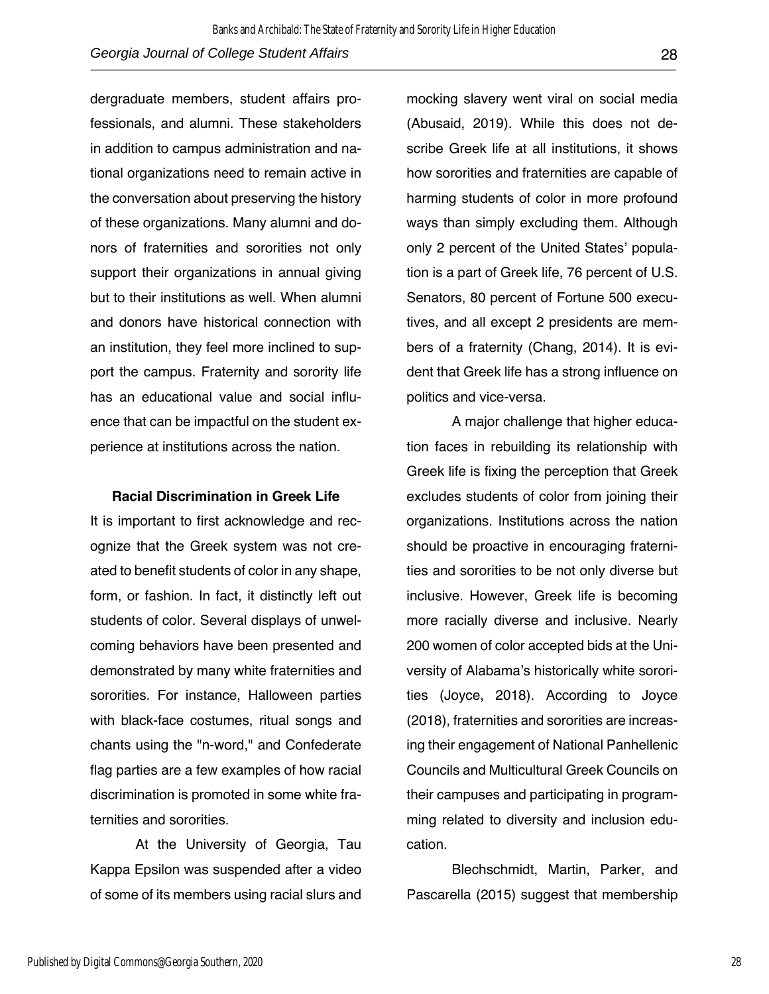dergraduate members, student affairs professionals, and alumni. These stakeholders in addition to campus administration and national organizations need to remain active in the conversation about preserving the history of these organizations. Many alumni and donors of fraternities and sororities not only support their organizations in annual giving but to their institutions as well. When alumni and donors have historical connection with an institution, they feel more inclined to support the campus. Fraternity and sorority life has an educational value and social influence that can be impactful on the student experience at institutions across the nation.

#### **Racial Discrimination in Greek Life**

It is important to first acknowledge and recognize that the Greek system was not created to benefit students of color in any shape, form, or fashion. In fact, it distinctly left out students of color. Several displays of unwelcoming behaviors have been presented and demonstrated by many white fraternities and sororities. For instance, Halloween parties with black-face costumes, ritual songs and chants using the "n-word," and Confederate flag parties are a few examples of how racial discrimination is promoted in some white fraternities and sororities.

At the University of Georgia, Tau Kappa Epsilon was suspended after a video of some of its members using racial slurs and

mocking slavery went viral on social media (Abusaid, 2019). While this does not describe Greek life at all institutions, it shows how sororities and fraternities are capable of harming students of color in more profound ways than simply excluding them. Although only 2 percent of the United States' population is a part of Greek life, 76 percent of U.S. Senators, 80 percent of Fortune 500 executives, and all except 2 presidents are members of a fraternity (Chang, 2014). It is evident that Greek life has a strong influence on politics and vice-versa.

A major challenge that higher education faces in rebuilding its relationship with Greek life is fixing the perception that Greek excludes students of color from joining their organizations. Institutions across the nation should be proactive in encouraging fraternities and sororities to be not only diverse but inclusive. However, Greek life is becoming more racially diverse and inclusive. Nearly 200 women of color accepted bids at the University of Alabama's historically white sororities (Joyce, 2018). According to Joyce (2018), fraternities and sororities are increasing their engagement of National Panhellenic Councils and Multicultural Greek Councils on their campuses and participating in programming related to diversity and inclusion education.

Blechschmidt, Martin, Parker, and Pascarella (2015) suggest that membership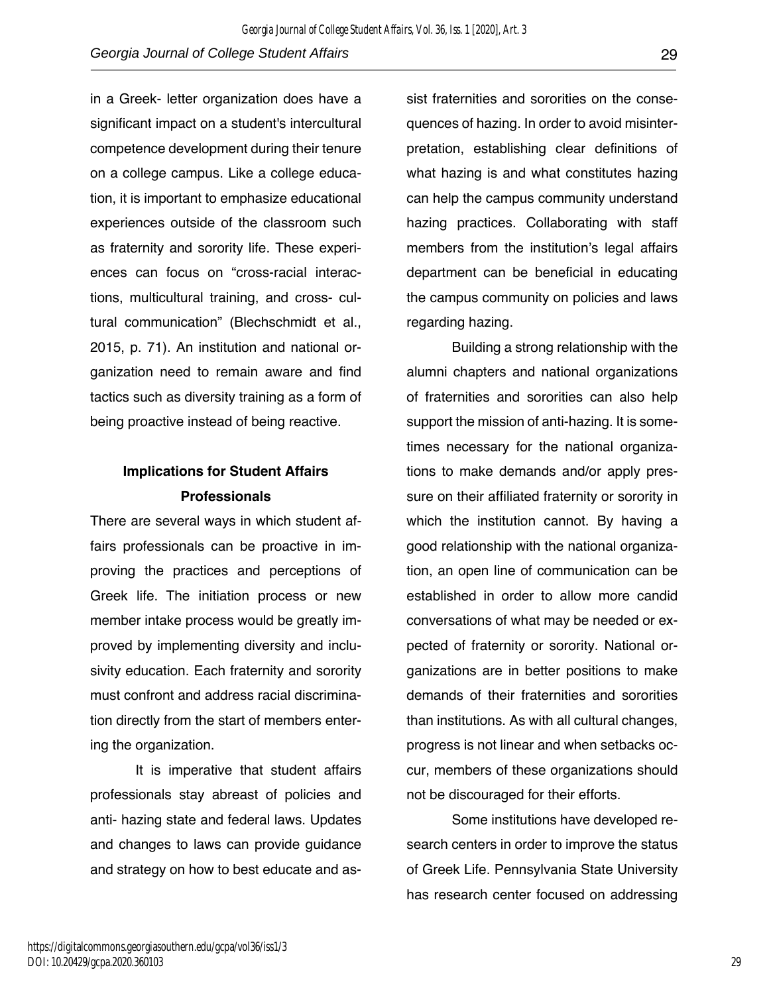in a Greek- letter organization does have a significant impact on a student's intercultural competence development during their tenure on a college campus. Like a college education, it is important to emphasize educational experiences outside of the classroom such as fraternity and sorority life. These experiences can focus on "cross-racial interactions, multicultural training, and cross- cultural communication" (Blechschmidt et al., 2015, p. 71). An institution and national organization need to remain aware and find tactics such as diversity training as a form of being proactive instead of being reactive.

## **Implications for Student Affairs Professionals**

There are several ways in which student affairs professionals can be proactive in improving the practices and perceptions of Greek life. The initiation process or new member intake process would be greatly improved by implementing diversity and inclusivity education. Each fraternity and sorority must confront and address racial discrimination directly from the start of members entering the organization.

It is imperative that student affairs professionals stay abreast of policies and anti- hazing state and federal laws. Updates and changes to laws can provide guidance and strategy on how to best educate and as-

sist fraternities and sororities on the consequences of hazing. In order to avoid misinterpretation, establishing clear definitions of what hazing is and what constitutes hazing can help the campus community understand hazing practices. Collaborating with staff members from the institution's legal affairs department can be beneficial in educating the campus community on policies and laws regarding hazing.

Building a strong relationship with the alumni chapters and national organizations of fraternities and sororities can also help support the mission of anti-hazing. It is sometimes necessary for the national organizations to make demands and/or apply pressure on their affiliated fraternity or sorority in which the institution cannot. By having a good relationship with the national organization, an open line of communication can be established in order to allow more candid conversations of what may be needed or expected of fraternity or sorority. National organizations are in better positions to make demands of their fraternities and sororities than institutions. As with all cultural changes, progress is not linear and when setbacks occur, members of these organizations should not be discouraged for their efforts.

Some institutions have developed research centers in order to improve the status of Greek Life. Pennsylvania State University has research center focused on addressing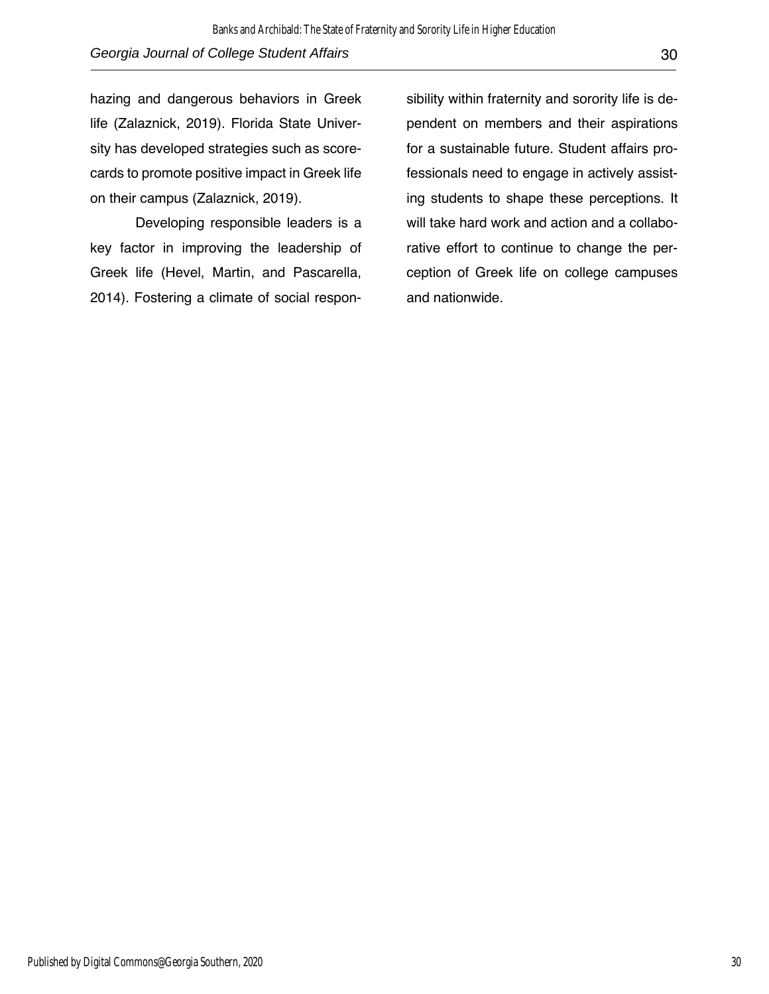hazing and dangerous behaviors in Greek life (Zalaznick, 2019). Florida State University has developed strategies such as scorecards to promote positive impact in Greek life on their campus (Zalaznick, 2019).

Developing responsible leaders is a key factor in improving the leadership of Greek life (Hevel, Martin, and Pascarella, 2014). Fostering a climate of social respon-

sibility within fraternity and sorority life is dependent on members and their aspirations for a sustainable future. Student affairs professionals need to engage in actively assisting students to shape these perceptions. It will take hard work and action and a collaborative effort to continue to change the perception of Greek life on college campuses and nationwide.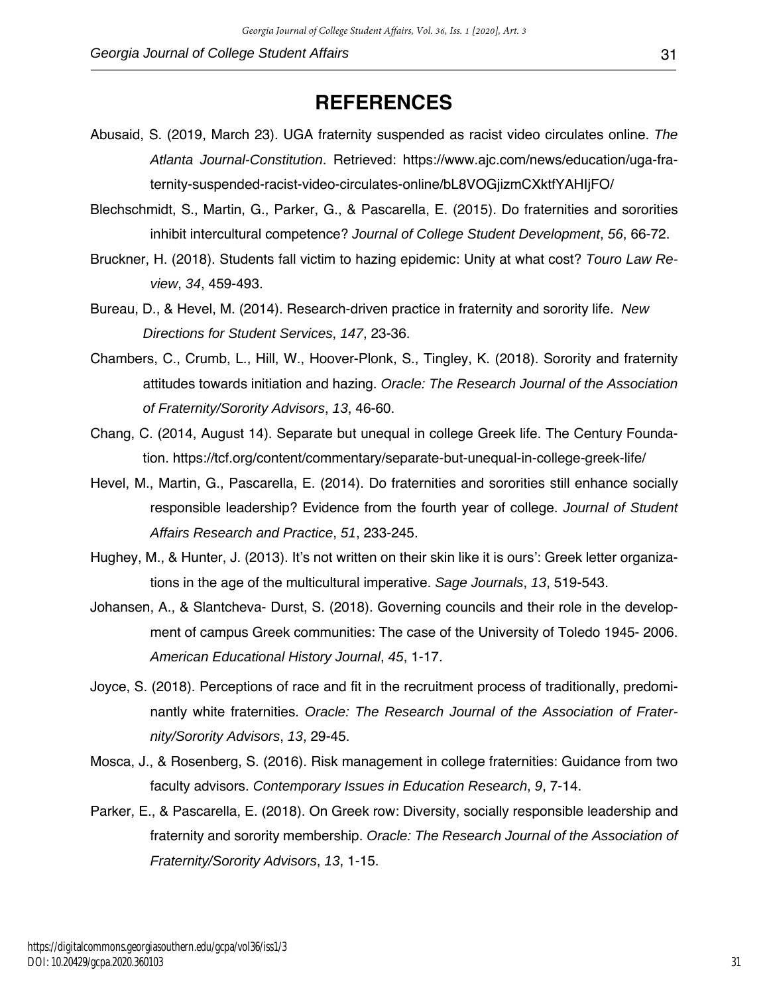### **REFERENCES**

- Abusaid, S. (2019, March 23). UGA fraternity suspended as racist video circulates online. *The Atlanta Journal-Constitution*. Retrieved: https://www.ajc.com/news/education/uga-fraternity-suspended-racist-video-circulates-online/bL8VOGjizmCXktfYAHIjFO/
- Blechschmidt, S., Martin, G., Parker, G., & Pascarella, E. (2015). Do fraternities and sororities inhibit intercultural competence? *Journal of College Student Development*, *56*, 66-72.
- Bruckner, H. (2018). Students fall victim to hazing epidemic: Unity at what cost? *Touro Law Review*, *34*, 459-493.
- Bureau, D., & Hevel, M. (2014). Research-driven practice in fraternity and sorority life. *New Directions for Student Services*, *147*, 23-36.
- Chambers, C., Crumb, L., Hill, W., Hoover-Plonk, S., Tingley, K. (2018). Sorority and fraternity attitudes towards initiation and hazing. *Oracle: The Research Journal of the Association of Fraternity/Sorority Advisors*, *13*, 46-60.
- Chang, C. (2014, August 14). Separate but unequal in college Greek life. The Century Foundation. https://tcf.org/content/commentary/separate-but-unequal-in-college-greek-life/
- Hevel, M., Martin, G., Pascarella, E. (2014). Do fraternities and sororities still enhance socially responsible leadership? Evidence from the fourth year of college. *Journal of Student Affairs Research and Practice*, *51*, 233-245.
- Hughey, M., & Hunter, J. (2013). It's not written on their skin like it is ours': Greek letter organizations in the age of the multicultural imperative. *Sage Journals*, *13*, 519-543.
- Johansen, A., & Slantcheva- Durst, S. (2018). Governing councils and their role in the development of campus Greek communities: The case of the University of Toledo 1945- 2006. *American Educational History Journal*, *45*, 1-17.
- Joyce, S. (2018). Perceptions of race and fit in the recruitment process of traditionally, predominantly white fraternities. *Oracle: The Research Journal of the Association of Fraternity/Sorority Advisors*, *13*, 29-45.
- Mosca, J., & Rosenberg, S. (2016). Risk management in college fraternities: Guidance from two faculty advisors. *Contemporary Issues in Education Research*, *9*, 7-14.
- Parker, E., & Pascarella, E. (2018). On Greek row: Diversity, socially responsible leadership and fraternity and sorority membership. *Oracle: The Research Journal of the Association of Fraternity/Sorority Advisors*, *13*, 1-15.